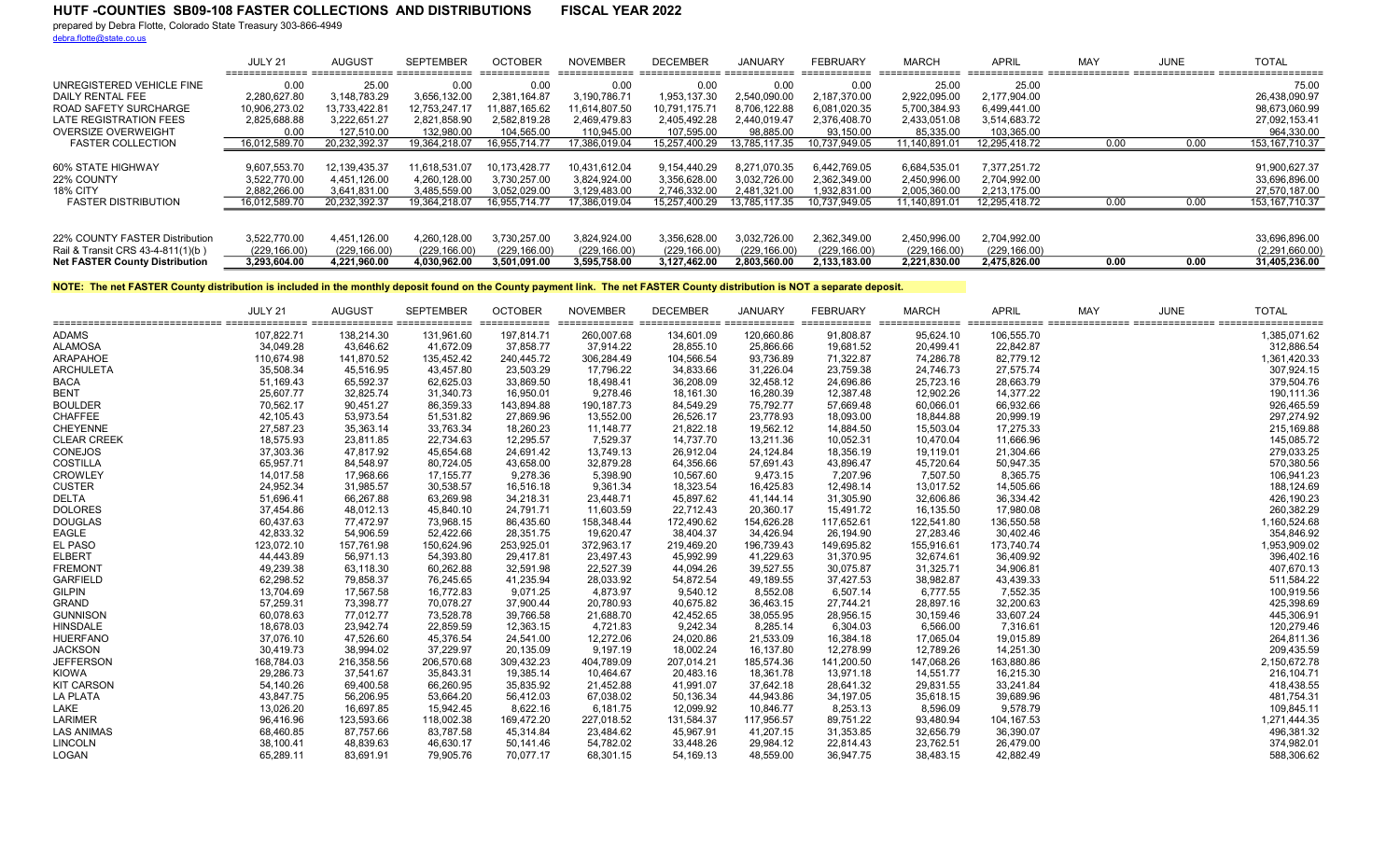## HUTF -COUNTIES SB09-108 FASTER COLLECTIONS AND DISTRIBUTIONS FISCAL YEAR 2022

prepared by Debra Flotte, Colorado State Treasury 303-866-4949

debra.flotte@state.co.us

|                                       | JULY 21       | <b>AUGUST</b> | <b>SEPTEMBER</b> | <b>OCTOBER</b><br>___________ | <b>NOVEMBER</b><br>_____________ | <b>DECEMBER</b>           | JANUARY       | <b>FEBRUARY</b><br>___________ | <b>MARCH</b><br>--------------- | <b>APRIL</b>  | <b>MA</b> | JUNE | <b>TOTAL</b>     |
|---------------------------------------|---------------|---------------|------------------|-------------------------------|----------------------------------|---------------------------|---------------|--------------------------------|---------------------------------|---------------|-----------|------|------------------|
| UNREGISTERED VEHICLE FINE             | 0.00          | 25.00         | 0.00             | 0.00                          | 0.00                             | 0.00                      | 0.00          | 0.00                           | 25.00                           | 25.00         |           |      | 75.00            |
| DAILY RENTAL FEE                      | 2.280.627.80  | 3.148.783.29  | 3,656,132.00     | 2.381.164.87                  | 3.190.786.71                     | 1,953,137.30              | 2.540.090.00  | 2.187.370.00                   | 2,922,095.00                    | 2.177.904.00  |           |      | 26.438.090.97    |
| ROAD SAFETY SURCHARGE                 | 10.906.273.02 | 13.733.422.81 | 12.753.247.17    | 11.887.165.62                 | 11.614.807.50                    | 10,791,175.7 <sup>,</sup> | 8.706.122.88  | 6.081.020.35                   | 5,700,384.93                    | 6.499.441.00  |           |      | 98.673.060.99    |
| LATE REGISTRATION FEES                | 2,825,688.88  | 3.222.651.27  | 2,821,858.90     | 2.582.819.28                  | 2.469.479.83                     | 2.405.492.28              | 2.440.019.47  | 2.376.408.70                   | 2,433,051.08                    | 3.514.683.72  |           |      | 27.092.153.41    |
| OVERSIZE OVERWEIGHT                   | 0.00          | 127.510.00    | 132.980.00       | 104.565.00                    | 110.945.00                       | 107.595.00                | 98.885.00     | 93.150.00                      | 85.335.00                       | 103.365.00    |           |      | 964.330.00       |
| <b>FASTER COLLECTION</b>              | 16,012,589.70 | 20.232.392.37 | 19.364.218.07    | 16.955.714.77                 | 17.386.019.04                    | 15,257,400.29             | 13.785.117.35 | 10.737.949.05                  | 11.140.891.01                   | 12.295.418.72 | 0.00      | 0.00 | 153, 167, 710.37 |
|                                       |               |               |                  |                               |                                  |                           |               |                                |                                 |               |           |      |                  |
| 60% STATE HIGHWAY                     | 9,607,553.70  | 12.139.435.37 | 11.618.531.07    | 10,173,428.77                 | 10,431,612.04                    | 9.154.440.29              | 8.271.070.35  | 6,442,769.05                   | 6,684,535.01                    | 7.377.251.72  |           |      | 91,900,627.37    |
| 22% COUNTY                            | 3.522.770.00  | 4.451.126.00  | 4.260.128.00     | 3.730.257.00                  | 3.824.924.00                     | 3,356,628.00              | 3.032.726.00  | 2.362.349.00                   | 2.450.996.00                    | 2.704.992.00  |           |      | 33,696,896.00    |
| <b>18% CITY</b>                       | 2,882,266.00  | 3.641.831.00  | 3,485,559.00     | 3,052,029.00                  | 3,129,483.00                     | 2,746,332.00              | 2,481,321.00  | 1,932,831.00                   | 2,005,360.00                    | 2,213,175.00  |           |      | 27,570,187.00    |
| <b>FASTER DISTRIBUTION</b>            | 16,012,589.70 | 20,232,392.37 | 19,364,218.07    | 16,955,714.77                 | 17,386,019.04                    | 15,257,400.29             | 13,785,117.35 | 10,737,949.05                  | 11,140,891.01                   | 12,295,418.72 | 0.00      | 0.00 | 153, 167, 710.37 |
|                                       |               |               |                  |                               |                                  |                           |               |                                |                                 |               |           |      |                  |
| 22% COUNTY FASTER Distribution        | 3,522,770.00  | 4.451.126.00  | 4,260,128.00     | 3,730,257.00                  | 3,824,924.00                     | 3,356,628.00              | 3,032,726.00  | 2,362,349.00                   | 2,450,996.00                    | 2,704,992.00  |           |      | 33,696,896.00    |
| Rail & Transit CRS 43-4-811(1)(b)     | (229, 166.00) | (229, 166.00) | (229, 166.00)    | (229, 166.00)                 | (229, 166.00)                    | (229, 166.00)             | (229, 166.00) | (229, 166.00)                  | (229, 166.00)                   | (229, 166.00) |           |      | (2,291,660.00)   |
| <b>Net FASTER County Distribution</b> | 3.293.604.00  | 4.221.960.00  | 4.030.962.00     | 3.501.091.00                  | 3.595.758.00                     | 3.127.462.00              | 2.803.560.00  | 2.133.183.00                   | 2.221.830.00                    | 2.475.826.00  | 0.00      | 0.00 | 31,405,236.00    |

NOTE: The net FASTER County distribution is included in the monthly deposit found on the County payment link. The net FASTER County distribution is NOT a separate deposit.

| ================================== | JULY 21<br>====== | <b>AUGUST</b> | <b>SEPTEMBER</b><br>122222222222 2222222222222 | <b>OCTOBER</b><br>========== | <b>NOVEMBER</b><br>============= | <b>DECEMBER</b><br>:====== | <b>JANUARY</b><br>--------- | <b>FEBRUARY</b><br>============ | <b>MARCH</b><br>--------- | <b>APRIL</b> | <b>MAY</b> | <b>JUNE</b> | <b>TOTAL</b><br>;=========== |
|------------------------------------|-------------------|---------------|------------------------------------------------|------------------------------|----------------------------------|----------------------------|-----------------------------|---------------------------------|---------------------------|--------------|------------|-------------|------------------------------|
| <b>ADAMS</b>                       | 107,822.71        | 138,214.30    | 131,961.60                                     | 197,814.71                   | 260,007.68                       | 134,601.09                 | 120,660.86                  | 91,808.87                       | 95,624.10                 | 106,555.70   |            |             | 1,385,071.62                 |
| <b>ALAMOSA</b>                     | 34,049.28         | 43,646.62     | 41,672.09                                      | 37,858.77                    | 37,914.22                        | 28,855.10                  | 25,866.66                   | 19,681.52                       | 20,499.41                 | 22,842.87    |            |             | 312,886.54                   |
| <b>ARAPAHOE</b>                    | 110,674.98        | 141,870.52    | 135,452.42                                     | 240,445.72                   | 306,284.49                       | 104,566.54                 | 93,736.89                   | 71,322.87                       | 74,286.78                 | 82,779.12    |            |             | 1,361,420.33                 |
| <b>ARCHULETA</b>                   | 35,508.34         | 45,516.95     | 43,457.80                                      | 23,503.29                    | 17,796.22                        | 34,833.66                  | 31,226.04                   | 23,759.38                       | 24,746.73                 | 27,575.74    |            |             | 307,924.15                   |
| <b>BACA</b>                        | 51,169.43         | 65,592.37     | 62,625.03                                      | 33,869.50                    | 18,498.41                        | 36,208.09                  | 32,458.12                   | 24,696.86                       | 25,723.16                 | 28,663.79    |            |             | 379,504.76                   |
| <b>BENT</b>                        | 25,607.77         | 32,825.74     | 31,340.73                                      | 16,950.01                    | 9,278.46                         | 18,161.30                  | 16,280.39                   | 12,387.48                       | 12,902.26                 | 14,377.22    |            |             | 190,111.36                   |
| <b>BOULDER</b>                     | 70,562.17         | 90,451.27     | 86,359.33                                      | 143,894.88                   | 190, 187. 73                     | 84,549.29                  | 75,792.77                   | 57,669.48                       | 60,066.01                 | 66,932.66    |            |             | 926,465.59                   |
| <b>CHAFFEE</b>                     | 42,105.43         | 53,973.54     | 51,531.82                                      | 27,869.96                    | 13,552.00                        | 26,526.17                  | 23,778.93                   | 18,093.00                       | 18,844.88                 | 20,999.19    |            |             | 297,274.92                   |
| CHEYENNE                           | 27,587.23         | 35,363.14     | 33,763.34                                      | 18,260.23                    | 11,148.77                        | 21,822.18                  | 19,562.12                   | 14,884.50                       | 15,503.04                 | 17,275.33    |            |             | 215,169.88                   |
| <b>CLEAR CREEK</b>                 | 18,575.93         | 23,811.85     | 22,734.63                                      | 12,295.57                    | 7,529.37                         | 14,737.70                  | 13,211.36                   | 10,052.31                       | 10,470.04                 | 11,666.96    |            |             | 145,085.72                   |
| CONEJOS                            | 37,303.36         | 47,817.92     | 45,654.68                                      | 24,691.42                    | 13,749.13                        | 26,912.04                  | 24,124.84                   | 18,356.19                       | 19,119.01                 | 21,304.66    |            |             | 279,033.25                   |
| <b>COSTILLA</b>                    | 65,957.71         | 84,548.97     | 80,724.05                                      | 43,658.00                    | 32,879.28                        | 64,356.66                  | 57,691.43                   | 43,896.47                       | 45,720.64                 | 50,947.35    |            |             | 570,380.56                   |
| <b>CROWLEY</b>                     | 14,017.58         | 17,968.66     | 17,155.77                                      | 9,278.36                     | 5,398.90                         | 10,567.60                  | 9,473.15                    | 7,207.96                        | 7,507.50                  | 8,365.75     |            |             | 106,941.23                   |
| <b>CUSTER</b>                      | 24,952.34         | 31,985.57     | 30,538.57                                      | 16,516.18                    | 9,361.34                         | 18,323.54                  | 16,425.83                   | 12,498.14                       | 13,017.52                 | 14,505.66    |            |             | 188,124.69                   |
| <b>DELTA</b>                       | 51,696.41         | 66,267.88     | 63,269.98                                      | 34,218.31                    | 23,448.71                        | 45,897.62                  | 41,144.14                   | 31,305.90                       | 32,606.86                 | 36,334.42    |            |             | 426,190.23                   |
| <b>DOLORES</b>                     | 37,454.86         | 48,012.13     | 45,840.10                                      | 24,791.71                    | 11,603.59                        | 22,712.43                  | 20,360.17                   | 15,491.72                       | 16,135.50                 | 17,980.08    |            |             | 260,382.29                   |
| <b>DOUGLAS</b>                     | 60,437.63         | 77,472.97     | 73,968.15                                      | 86,435.60                    | 158,348.44                       | 172,490.62                 | 154,626.28                  | 117,652.61                      | 122,541.80                | 136,550.58   |            |             | 1,160,524.68                 |
| <b>EAGLE</b>                       | 42,833.32         | 54,906.59     | 52,422.66                                      | 28,351.75                    | 19,620.47                        | 38,404.37                  | 34,426.94                   | 26,194.90                       | 27,283.46                 | 30,402.46    |            |             | 354,846.92                   |
| EL PASO                            | 123,072.10        | 157,761.98    | 150,624.96                                     | 253,925.01                   | 372,963.17                       | 219,469.20                 | 196,739.43                  | 149,695.82                      | 155,916.61                | 173,740.74   |            |             | 1,953,909.02                 |
| <b>ELBERT</b>                      | 44,443.89         | 56,971.13     | 54,393.80                                      | 29,417.81                    | 23,497.43                        | 45,992.99                  | 41,229.63                   | 31,370.95                       | 32,674.61                 | 36,409.92    |            |             | 396,402.16                   |
| <b>FREMONT</b>                     | 49,239.38         | 63,118.30     | 60,262.88                                      | 32,591.98                    | 22,527.39                        | 44,094.26                  | 39,527.55                   | 30,075.87                       | 31,325.71                 | 34,906.81    |            |             | 407,670.13                   |
| <b>GARFIELD</b>                    | 62,298.52         | 79,858.37     | 76,245.65                                      | 41,235.94                    | 28,033.92                        | 54,872.54                  | 49,189.55                   | 37,427.53                       | 38,982.87                 | 43,439.33    |            |             | 511,584.22                   |
| <b>GILPIN</b>                      | 13,704.69         | 17,567.58     | 16,772.83                                      | 9,071.25                     | 4,873.97                         | 9,540.12                   | 8,552.08                    | 6,507.14                        | 6,777.55                  | 7,552.35     |            |             | 100,919.56                   |
| <b>GRAND</b>                       | 57,259.31         | 73,398.77     | 70,078.27                                      | 37,900.44                    | 20,780.93                        | 40,675.82                  | 36,463.15                   | 27,744.21                       | 28,897.16                 | 32,200.63    |            |             | 425,398.69                   |
| <b>GUNNISON</b>                    | 60,078.63         | 77,012.77     | 73,528.78                                      | 39,766.58                    | 21,688.70                        | 42,452.65                  | 38,055.95                   | 28,956.15                       | 30,159.46                 | 33,607.24    |            |             | 445,306.91                   |
| <b>HINSDALE</b>                    | 18,678.03         | 23,942.74     | 22,859.59                                      | 12,363.15                    | 4,721.83                         | 9,242.34                   | 8,285.14                    | 6,304.03                        | 6,566.00                  | 7,316.61     |            |             | 120,279.46                   |
| <b>HUERFANO</b>                    | 37,076.10         | 47,526.60     | 45,376.54                                      | 24,541.00                    | 12,272.06                        | 24,020.86                  | 21,533.09                   | 16,384.18                       | 17,065.04                 | 19,015.89    |            |             | 264,811.36                   |
| <b>JACKSON</b>                     | 30,419.73         | 38,994.02     | 37,229.97                                      | 20,135.09                    | 9,197.19                         | 18,002.24                  | 16,137.80                   | 12,278.99                       | 12,789.26                 | 14,251.30    |            |             | 209,435.59                   |
| <b>JEFFERSON</b>                   | 168,784.03        | 216,358.56    | 206,570.68                                     | 309,432.23                   | 404,789.09                       | 207,014.21                 | 185,574.36                  | 141,200.50                      | 147,068.26                | 163,880.86   |            |             | 2,150,672.78                 |
| <b>KIOWA</b>                       | 29,286.73         | 37,541.67     | 35,843.31                                      | 19,385.14                    | 10,464.67                        | 20,483.16                  | 18,361.78                   | 13,971.18                       | 14,551.77                 | 16,215.30    |            |             | 216,104.71                   |
| <b>KIT CARSON</b>                  | 54,140.26         | 69,400.58     | 66,260.95                                      | 35,835.92                    | 21,452.88                        | 41,991.07                  | 37,642.18                   | 28,641.32                       | 29,831.55                 | 33,241.84    |            |             | 418,438.55                   |
| LA PLATA                           | 43,847.75         | 56,206.95     | 53,664.20                                      | 56,412.03                    | 67,038.02                        | 50,136.34                  | 44,943.86                   | 34,197.05                       | 35,618.15                 | 39,689.96    |            |             | 481,754.31                   |
| LAKE                               | 13,026.20         | 16,697.85     | 15,942.45                                      | 8,622.16                     | 6,181.75                         | 12,099.92                  | 10,846.77                   | 8,253.13                        | 8,596.09                  | 9,578.79     |            |             | 109,845.11                   |
| <b>LARIMER</b>                     | 96,416.96         | 123,593.66    | 118,002.38                                     | 169,472.20                   | 227,018.52                       | 131,584.37                 | 117,956.57                  | 89,751.22                       | 93,480.94                 | 104,167.53   |            |             | 1,271,444.35                 |
| <b>LAS ANIMAS</b>                  | 68,460.85         | 87,757.66     | 83,787.58                                      | 45,314.84                    | 23,484.62                        | 45,967.91                  | 41,207.15                   | 31,353.85                       | 32,656.79                 | 36,390.07    |            |             | 496,381.32                   |
| <b>LINCOLN</b>                     | 38,100.41         | 48,839.63     | 46,630.17                                      | 50,141.46                    | 54,782.02                        | 33,448.26                  | 29,984.12                   | 22,814.43                       | 23,762.51                 | 26,479.00    |            |             | 374,982.01                   |
| LOGAN                              | 65,289.11         | 83,691.91     | 79,905.76                                      | 70,077.17                    | 68,301.15                        | 54,169.13                  | 48,559.00                   | 36,947.75                       | 38,483.15                 | 42,882.49    |            |             | 588,306.62                   |